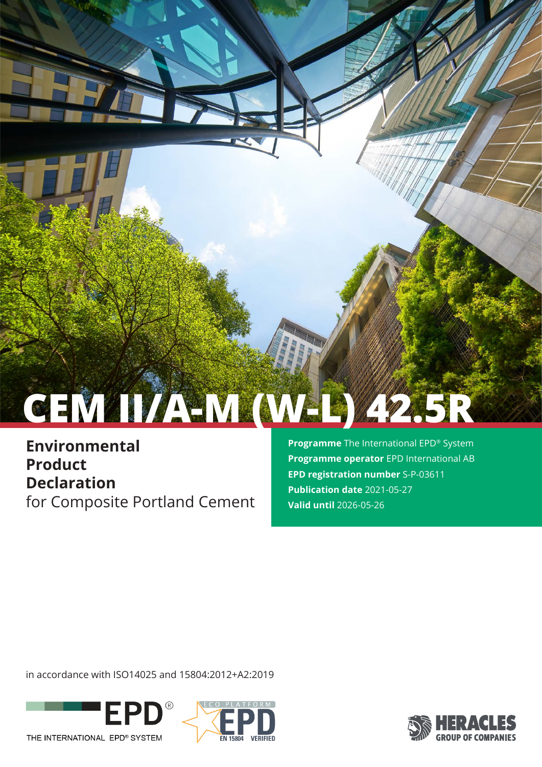# **CEM II/A-M (W-L) 42.5R**

**Environmental Product Declaration** for Composite Portland Cement **Programme** The International EPD® System **Programme operator** EPD International AB **EPD registration number** S-P-03611 **Publication date** 2021-05-27 **Valid until** 2026-05-26

in accordance with ISO14025 and 15804:2012+A2:2019





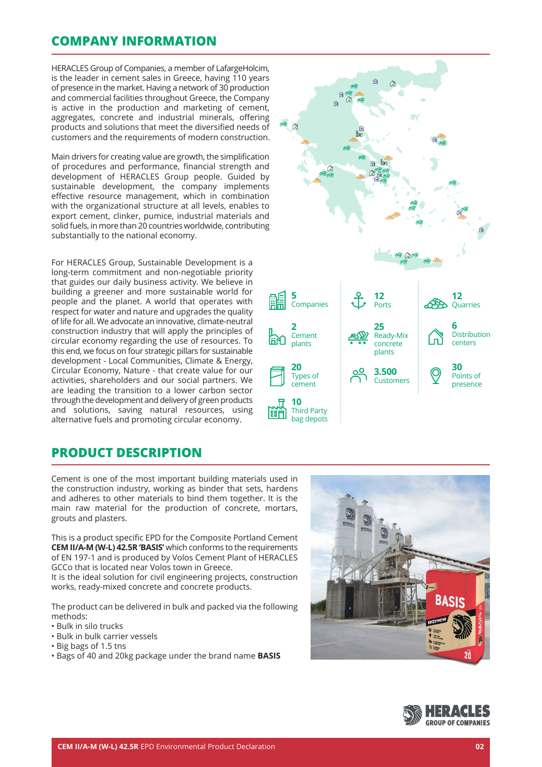## **COMPANY INFORMATION**

HERACLES Group of Companies, a member of LafargeHolcim, is the leader in cement sales in Greece, having 110 years of presence in the market. Having a network of 30 production and commercial facilities throughout Greece, the Company is active in the production and marketing of cement, aggregates, concrete and industrial minerals, offering products and solutions that meet the diversified needs of customers and the requirements of modern construction.

Main drivers for creating value are growth, the simplification of procedures and performance, financial strength and development of HERACLES Group people. Guided by sustainable development, the company implements effective resource management, which in combination with the organizational structure at all levels, enables to export cement, clinker, pumice, industrial materials and solid fuels, in more than 20 countries worldwide, contributing substantially to the national economy.

For HERACLES Group, Sustainable Development is a long-term commitment and non-negotiable priority that guides our daily business activity. We believe in building a greener and more sustainable world for people and the planet. A world that operates with respect for water and nature and upgrades the quality of life for all. We advocate an innovative, climate-neutral construction industry that will apply the principles of circular economy regarding the use of resources. To this end, we focus on four strategic pillars for sustainable development - Local Communities, Climate & Energy, Circular Economy, Nature - that create value for our activities, shareholders and our social partners. We are leading the transition to a lower carbon sector through the development and delivery of green products and solutions, saving natural resources, using alternative fuels and promoting circular economy.



## **PRODUCT DESCRIPTION**

Cement is one of the most important building materials used in the construction industry, working as binder that sets, hardens and adheres to other materials to bind them together. It is the main raw material for the production of concrete, mortars, grouts and plasters.

This is a product specific EPD for the Composite Portland Cement **CEM II/A-M (W-L) 42.5R 'BASIS'** which conforms to the requirements of EN 197-1 and is produced by Volos Cement Plant of HERACLES GCCo that is located near Volos town in Greece.

It is the ideal solution for civil engineering projects, construction works, ready-mixed concrete and concrete products.

The product can be delivered in bulk and packed via the following methods:

- Bulk in silo trucks
- Bulk in bulk carrier vessels
- Big bags of 1.5 tns
- Bags of 40 and 20kg package under the brand name **BASIS**



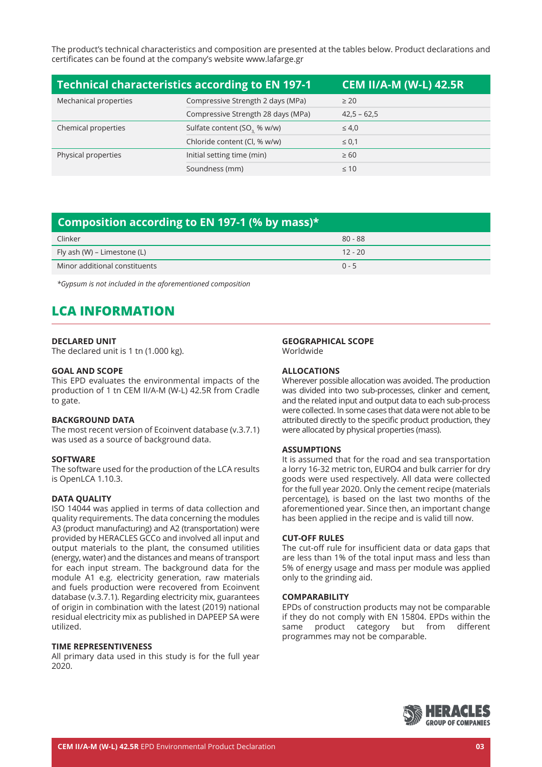The product's technical characteristics and composition are presented at the tables below. Product declarations and certificates can be found at the company's website www.lafarge.gr

| <b>Technical characteristics according to EN 197-1</b><br>CEM II/A-M (W-L) 42.5R |                                         |               |  |
|----------------------------------------------------------------------------------|-----------------------------------------|---------------|--|
| Mechanical properties                                                            | Compressive Strength 2 days (MPa)       | $\geq 20$     |  |
|                                                                                  | Compressive Strength 28 days (MPa)      | $42,5 - 62,5$ |  |
| Chemical properties                                                              | Sulfate content (SO <sub>3</sub> % w/w) | $\leq 4.0$    |  |
|                                                                                  | Chloride content (Cl, % w/w)            | $\leq 0.1$    |  |
| Physical properties                                                              | Initial setting time (min)              | $\geq 60$     |  |
|                                                                                  | Soundness (mm)                          | $\leq 10$     |  |

## **Composition according to EN 197-1 (% by mass)\***

| Clinker                       | $80 - 88$ |
|-------------------------------|-----------|
| Fly ash (W) – Limestone (L)   | $12 - 20$ |
| Minor additional constituents | $0 - 5$   |

*\*Gypsum is not included in the aforementioned composition*

# **LCA INFORMATION**

#### **DECLARED UNIT**

The declared unit is 1 tn (1.000 kg).

#### **GOAL AND SCOPE**

This EPD evaluates the environmental impacts of the production of 1 tn CEM II/A-M (W-L) 42.5R from Cradle to gate.

#### **BACKGROUND DATA**

The most recent version of Ecoinvent database (v.3.7.1) was used as a source of background data.

#### **SOFTWARE**

The software used for the production of the LCA results is OpenLCA 1.10.3.

#### **DATA QUALITY**

ISO 14044 was applied in terms of data collection and quality requirements. The data concerning the modules A3 (product manufacturing) and A2 (transportation) were provided by HERACLES GCCo and involved all input and output materials to the plant, the consumed utilities (energy, water) and the distances and means of transport for each input stream. The background data for the module A1 e.g. electricity generation, raw materials and fuels production were recovered from Ecoinvent database (v.3.7.1). Regarding electricity mix, guarantees of origin in combination with the latest (2019) national residual electricity mix as published in DAPEEP SA were utilized.

#### **TIME REPRESENTIVENESS**

All primary data used in this study is for the full year 2020.

#### **GEOGRAPHICAL SCOPE**

Worldwide

#### **ALLOCATIONS**

Wherever possible allocation was avoided. The production was divided into two sub-processes, clinker and cement, and the related input and output data to each sub-process were collected. In some cases that data were not able to be attributed directly to the specific product production, they were allocated by physical properties (mass).

#### **ASSUMPTIONS**

It is assumed that for the road and sea transportation a lorry 16-32 metric ton, EURO4 and bulk carrier for dry goods were used respectively. All data were collected for the full year 2020. Only the cement recipe (materials percentage), is based on the last two months of the aforementioned year. Since then, an important change has been applied in the recipe and is valid till now.

#### **CUT-OFF RULES**

The cut-off rule for insufficient data or data gaps that are less than 1% of the total input mass and less than 5% of energy usage and mass per module was applied only to the grinding aid.

#### **COMPARABILITY**

EPDs of construction products may not be comparable if they do not comply with EN 15804. EPDs within the same product category but from different programmes may not be comparable.

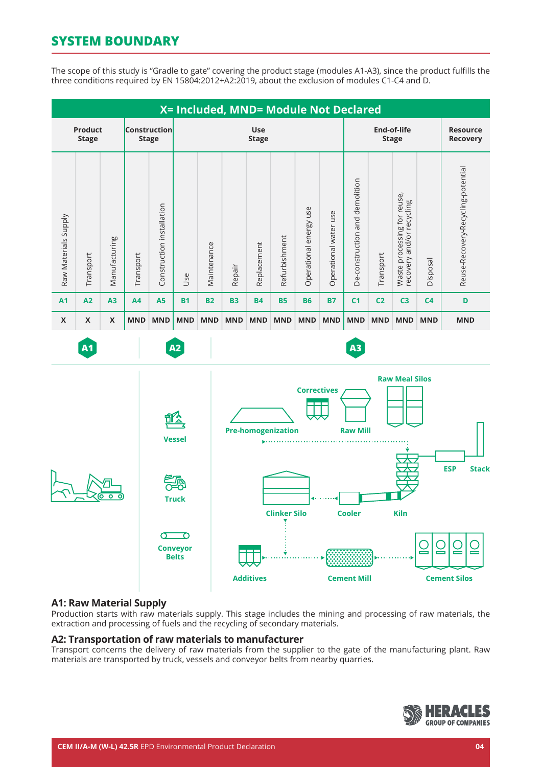# **SYSTEM BOUNDARY**

The scope of this study is "Gradle to gate" covering the product stage (modules A1-A3), since the product fulfills the three conditions required by EN 15804:2012+A2:2019, about the exclusion of modules C1-C4 and D.



### **A1: Raw Material Supply**

Production starts with raw materials supply. This stage includes the mining and processing of raw materials, the extraction and processing of fuels and the recycling of secondary materials.

#### **A2: Transportation of raw materials to manufacturer**

Transport concerns the delivery of raw materials from the supplier to the gate of the manufacturing plant. Raw materials are transported by truck, vessels and conveyor belts from nearby quarries.

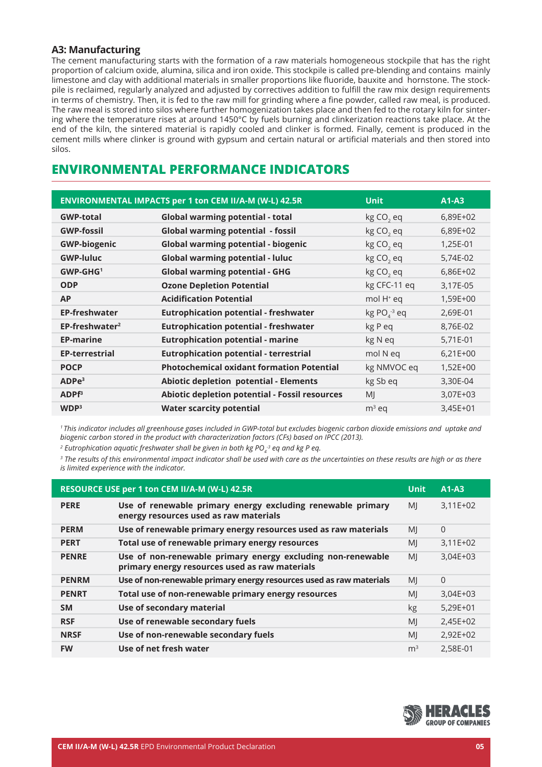## **A3: Manufacturing**

The cement manufacturing starts with the formation of a raw materials homogeneous stockpile that has the right proportion of calcium oxide, alumina, silica and iron oxide. This stockpile is called pre-blending and contains mainly limestone and clay with additional materials in smaller proportions like fluoride, bauxite and hornstone. The stockpile is reclaimed, regularly analyzed and adjusted by correctives addition to fulfill the raw mix design requirements in terms of chemistry. Then, it is fed to the raw mill for grinding where a fine powder, called raw meal, is produced. The raw meal is stored into silos where further homogenization takes place and then fed to the rotary kiln for sintering where the temperature rises at around 1450°C by fuels burning and clinkerization reactions take place. At the end of the kiln, the sintered material is rapidly cooled and clinker is formed. Finally, cement is produced in the cement mills where clinker is ground with gypsum and certain natural or artificial materials and then stored into silos.

## **ENVIRONMENTAL PERFORMANCE INDICATORS**

|                       | ENVIRONMENTAL IMPACTS per 1 ton CEM II/A-M (W-L) 42.5R | <b>Unit</b>              | $A1-A3$    |
|-----------------------|--------------------------------------------------------|--------------------------|------------|
| <b>GWP-total</b>      | <b>Global warming potential - total</b>                | kg CO <sub>2</sub> eq    | 6,89E+02   |
| <b>GWP-fossil</b>     | <b>Global warming potential - fossil</b>               | kg CO <sub>2</sub> eq    | 6,89E+02   |
| <b>GWP-biogenic</b>   | <b>Global warming potential - biogenic</b>             | kg CO <sub>2</sub> eq    | 1,25E-01   |
| <b>GWP-luluc</b>      | <b>Global warming potential - luluc</b>                | kg CO <sub>2</sub> eq    | 5,74E-02   |
| $GWP-GHG1$            | <b>Global warming potential - GHG</b>                  | kg CO <sub>2</sub> eq    | 6,86E+02   |
| <b>ODP</b>            | <b>Ozone Depletion Potential</b>                       | kg CFC-11 eq             | 3,17E-05   |
| <b>AP</b>             | <b>Acidification Potential</b>                         | mol H <sup>+</sup> eq    | 1,59E+00   |
| <b>EP-freshwater</b>  | <b>Eutrophication potential - freshwater</b>           | $kg PO4$ <sup>3</sup> eq | 2,69E-01   |
| $EP-freeshwater2$     | <b>Eutrophication potential - freshwater</b>           | kg P eq                  | 8,76E-02   |
| <b>EP-marine</b>      | <b>Eutrophication potential - marine</b>               | kg N eq                  | 5,71E-01   |
| <b>EP-terrestrial</b> | <b>Eutrophication potential - terrestrial</b>          | mol N eq                 | $6,21E+00$ |
| <b>POCP</b>           | <b>Photochemical oxidant formation Potential</b>       | kg NMVOC eq              | $1,52E+00$ |
| ADPe <sup>3</sup>     | <b>Abiotic depletion potential - Elements</b>          | kg Sb eq                 | 3,30E-04   |
| ADPF <sup>3</sup>     | Abiotic depletion potential - Fossil resources         | MI                       | 3,07E+03   |
| WDP <sup>3</sup>      | <b>Water scarcity potential</b>                        | $m3$ eq                  | 3,45E+01   |

*1 This indicator includes all greenhouse gases included in GWP-total but excludes biogenic carbon dioxide emissions and uptake and biogenic carbon stored in the product with characterization factors (CFs) based on IPCC (2013).* 

<sup>2</sup> Eutrophication aquatic freshwater shall be given in both kg PO<sub>4</sub><sup>3</sup> eq and kg P eq.

*3 The results of this environmental impact indicator shall be used with care as the uncertainties on these results are high or as there is limited experience with the indicator.*

|              | RESOURCE USE per 1 ton CEM II/A-M (W-L) 42.5R                                                                 | <b>Unit</b>    | $A1-A3$    |
|--------------|---------------------------------------------------------------------------------------------------------------|----------------|------------|
| <b>PERE</b>  | Use of renewable primary energy excluding renewable primary<br>energy resources used as raw materials         | MI             | $3,11E+02$ |
| <b>PERM</b>  | Use of renewable primary energy resources used as raw materials                                               | MI             | $\Omega$   |
| <b>PERT</b>  | Total use of renewable primary energy resources                                                               | MI             | $3,11E+02$ |
| <b>PENRE</b> | Use of non-renewable primary energy excluding non-renewable<br>primary energy resources used as raw materials | MI             | $3,04E+03$ |
| <b>PENRM</b> | Use of non-renewable primary energy resources used as raw materials                                           | MI             | $\Omega$   |
| <b>PENRT</b> | Total use of non-renewable primary energy resources                                                           | MI             | $3,04E+03$ |
| <b>SM</b>    | Use of secondary material                                                                                     | kg             | $5,29E+01$ |
| <b>RSF</b>   | Use of renewable secondary fuels                                                                              | MI             | 2,45E+02   |
| <b>NRSF</b>  | Use of non-renewable secondary fuels                                                                          | MI             | $2,92E+02$ |
| <b>FW</b>    | Use of net fresh water                                                                                        | m <sup>3</sup> | 2,58E-01   |

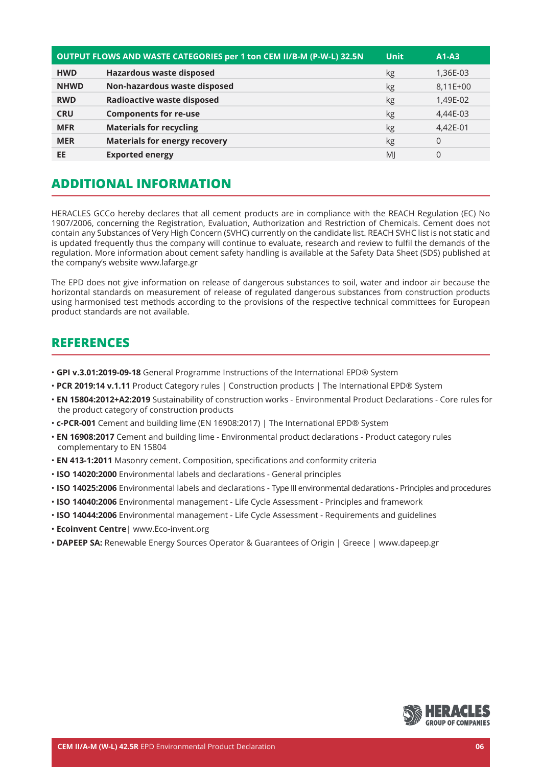|             | OUTPUT FLOWS AND WASTE CATEGORIES per 1 ton CEM II/B-M (P-W-L) 32.5N | <b>Unit</b>    | $A1-A3$  |
|-------------|----------------------------------------------------------------------|----------------|----------|
| <b>HWD</b>  | <b>Hazardous waste disposed</b>                                      | kg             | 1,36E-03 |
| <b>NHWD</b> | Non-hazardous waste disposed                                         | kg             | 8,11E+00 |
| <b>RWD</b>  | <b>Radioactive waste disposed</b>                                    | kg             | 1,49E-02 |
| <b>CRU</b>  | <b>Components for re-use</b>                                         | kg             | 4.44E-03 |
| <b>MFR</b>  | <b>Materials for recycling</b>                                       | kg             | 4,42E-01 |
| <b>MER</b>  | <b>Materials for energy recovery</b>                                 | kg             | $\Omega$ |
| EE          | <b>Exported energy</b>                                               | M <sub>l</sub> | 0        |

# **ADDITIONAL INFORMATION**

HERACLES GCCo hereby declares that all cement products are in compliance with the REACH Regulation (EC) No 1907/2006, concerning the Registration, Evaluation, Authorization and Restriction of Chemicals. Cement does not contain any Substances of Very High Concern (SVHC) currently on the candidate list. REACH SVHC list is not static and is updated frequently thus the company will continue to evaluate, research and review to fulfil the demands of the regulation. More information about cement safety handling is available at the Safety Data Sheet (SDS) published at the company's website www.lafarge.gr

The EPD does not give information on release of dangerous substances to soil, water and indoor air because the horizontal standards on measurement of release of regulated dangerous substances from construction products using harmonised test methods according to the provisions of the respective technical committees for European product standards are not available.

## **REFERENCES**

- • **GPI v.3.01:2019-09-18** General Programme Instructions of the International EPD® System
- **PCR 2019:14 v.1.11** Product Category rules | Construction products | The International EPD® System
- **EN 15804:2012+A2:2019** Sustainability of construction works Environmental Product Declarations Core rules for the product category of construction products
- **c-PCR-001** Cement and building lime (EN 16908:2017) | The International EPD® System
- • **EN 16908:2017** Cement and building lime Environmental product declarations Product category rules complementary to EN 15804
- • **EN 413-1:2011** Masonry cement. Composition, specifications and conformity criteria
- • **ISO 14020:2000** Environmental labels and declarations General principles
- • **ISO 14025:2006** Environmental labels and declarations Type III environmental declarations Principles and procedures
- **ISO 14040:2006** Environmental management Life Cycle Assessment Principles and framework
- • **ISO 14044:2006** Environmental management Life Cycle Assessment Requirements and guidelines
- • **Ecoinvent Centre**| www.Eco-invent.org
- **DAPEEP SA:** Renewable Energy Sources Operator & Guarantees of Origin | Greece | www.dapeep.gr

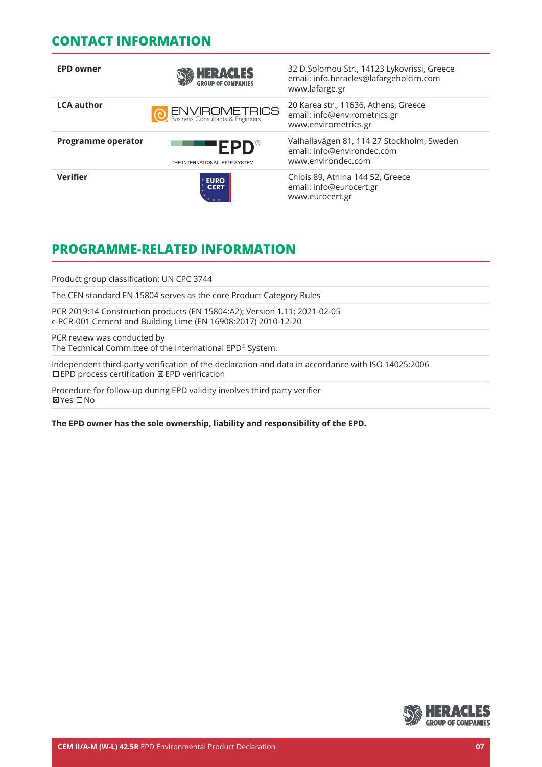## **CONTACT INFORMATION**

| <b>EPD owner</b>          | <b>HERACLES</b>                                            | 32 D.Solomou Str., 14123 Lykovrissi, Greece<br>email: info.heracles@lafargeholcim.com<br>www.lafarge.gr |
|---------------------------|------------------------------------------------------------|---------------------------------------------------------------------------------------------------------|
| <b>LCA</b> author         | <b>O ENVIROMETRICS</b><br>Business Consultants & Engineers | 20 Karea str., 11636, Athens, Greece<br>email: info@envirometrics.gr<br>www.envirometrics.gr            |
| <b>Programme operator</b> | $EPD^*$<br>THE INTERNATIONAL EPD® SYSTEM                   | Valhallavägen 81, 114 27 Stockholm, Sweden<br>email: info@environdec.com<br>www.environdec.com          |
| <b>Verifier</b>           | <b>EURO<br/>CERT</b>                                       | Chlois 89, Athina 144 52, Greece<br>email: info@eurocert.gr<br>www.eurocert.gr                          |

# **PROGRAMME-RELATED INFORMATION**

Product group classification: UN CPC 3744

The CEN standard EN 15804 serves as the core Product Category Rules

PCR 2019:14 Construction products (EN 15804:A2); Version 1.11; 2021-02-05 c-PCR-001 Cement and Building Lime (EN 16908:2017) 2010-12-20

PCR review was conducted by The Technical Committee of the International EPD® System.

Independent third-party verification of the declaration and data in accordance with ISO 14025:2006 EPD process certification EPD verification

Procedure for follow-up during EPD validity involves third party verifier **⊠Yes** □No

**The EPD owner has the sole ownership, liability and responsibility of the EPD.**